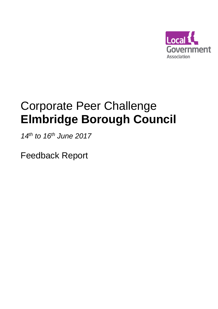

# Corporate Peer Challenge **Elmbridge Borough Council**

*14th to 16th June 2017*

Feedback Report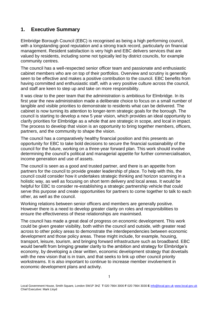# **1. Executive Summary**

Elmbridge Borough Council (EBC) is recognised as being a high performing council, with a longstanding good reputation and a strong track record, particularly on financial management. Resident satisfaction is very high and EBC delivers services that are valued by residents, including some not typically led by district councils, for example community centres.

The council has a well-respected senior officer team and passionate and enthusiastic cabinet members who are on top of their portfolios. Overview and scrutiny is generally seen to be effective and makes a positive contribution to the council. EBC benefits from having committed and enthusiastic staff, with a very positive culture across the council, and staff are keen to step up and take on more responsibility.

It was clear to the peer team that the administration is ambitious for Elmbridge. In its first year the new administration made a deliberate choice to focus on a small number of tangible and visible priorities to demonstrate to residents what can be delivered. The cabinet is now turning its attention to longer-term strategic goals for the borough. The council is starting to develop a new 5 year vision, which provides an ideal opportunity to clarify priorities for Elmbridge as a whole that are strategic in scope, and local in impact. The process to develop that vision is an opportunity to bring together members, officers, partners, and the community to shape the vision.

The council has a comparatively healthy financial position and this presents an opportunity for EBC to take bold decisions to secure the financial sustainability of the council for the future, working on a three-year forward plan. This work should involve determining the council's political and managerial appetite for further commercialisation, income generation and use of assets.

The council is seen as a good and trusted partner, and there is an appetite from partners for the council to provide greater leadership of place. To help with this, the council could consider how it undertakes strategic thinking and horizon scanning in a holistic way, as well as focusing on short term delivery and local areas. It would be helpful for EBC to consider re-establishing a strategic partnership vehicle that could serve this purpose and create opportunities for partners to come together to talk to each other, as well as the council.

Working relations between senior officers and members are generally positive. However there is a need to develop greater clarity on roles and responsibilities to ensure the effectiveness of these relationships are maximised.

The council has made a great deal of progress on economic development. This work could be given greater visibility, both within the council and outside, with greater read across to other policy areas to demonstrate the interdependencies between economic development and those policy areas. These might include, for example, housing, transport, leisure, tourism, and bringing forward infrastructure such as broadband. EBC would benefit from bringing greater clarity to the ambition and strategy for Elmbridge's economy, by developing a clear written, economic development strategy that dovetails with the new vision that is in train, and that seeks to link up other council priority workstreams. It is also important to continue to increase member involvement in economic development plans and activity.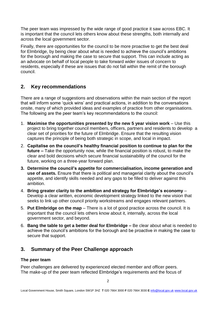The peer team was impressed by the wide range of good practice it saw across EBC. It is important that the council lets others know about these strengths, both internally and across the local government sector.

Finally, there are opportunities for the council to be more proactive to get the best deal for Elmbridge, by being clear about what is needed to achieve the council's ambitions for the borough and making the case to secure that support. This can include acting as an advocate on behalf of local people to take forward wider issues of concern to residents, especially if these are issues that do not fall within the remit of the borough council.

# **2. Key recommendations**

There are a range of suggestions and observations within the main section of the report that will inform some 'quick wins' and practical actions, in addition to the conversations onsite, many of which provided ideas and examples of practice from other organisations. The following are the peer team's key recommendations to the council:

- 1. **Maximise the opportunities presented by the new 5 year vision work** Use this project to bring together council members, officers, partners and residents to develop a clear set of priorities for the future of Elmbridge. Ensure that the resulting vision captures the principle of being both strategic in scope, and local in impact.
- 2. **Capitalise on the council's healthy financial position to continue to plan for the future –** Take the opportunity now, while the financial position is robust, to make the clear and bold decisions which secure financial sustainability of the council for the future, working on a three-year forward plan.
- **3. Determine the council's appetite for commercialisation, income generation and use of assets.** Ensure that there is political and managerial clarity about the council's appetite, and identify skills needed and any gaps to be filled to deliver against this ambition.
- 4. **Bring greater clarity to the ambition and strategy for Elmbridge's economy** Develop a clear written, economic development strategy linked to the new vision that seeks to link up other council priority workstreams and engages relevant partners.
- 5. **Put Elmbridge on the map** There is a lot of good practice across the council. It is important that the council lets others know about it, internally, across the local government sector, and beyond.
- 6. **Bang the table to get a better deal for Elmbridge –** Be clear about what is needed to achieve the council's ambitions for the borough and be proactive in making the case to secure that support.

# **3. Summary of the Peer Challenge approach**

# **The peer team**

Peer challenges are delivered by experienced elected member and officer peers. The make-up of the peer team reflected Elmbridge's requirements and the focus of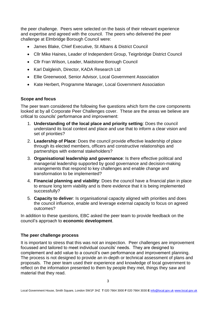the peer challenge. Peers were selected on the basis of their relevant experience and expertise and agreed with the council. The peers who delivered the peer challenge at Elmbridge Borough Council were:

- James Blake, Chief Executive, St Albans & District Council
- Cllr Mike Haines, Leader of Independent Group, Teignbridge District Council
- Cllr Fran Wilson, Leader, Maidstone Borough Council
- Karl Dalgleish, Director, KADA Research Ltd
- Ellie Greenwood, Senior Advisor, Local Government Association
- Kate Herbert, Programme Manager, Local Government Association

# **Scope and focus**

The peer team considered the following five questions which form the core components looked at by all Corporate Peer Challenges cover. These are the areas we believe are critical to councils' performance and improvement:

- 1. **Understanding of the local place and priority setting**: Does the council understand its local context and place and use that to inform a clear vision and set of priorities?
- 2. **Leadership of Place**: Does the council provide effective leadership of place through its elected members, officers and constructive relationships and partnerships with external stakeholders?
- 3. **Organisational leadership and governance**: Is there effective political and managerial leadership supported by good governance and decision-making arrangements that respond to key challenges and enable change and transformation to be implemented?
- 4. **Financial planning and viability**: Does the council have a financial plan in place to ensure long term viability and is there evidence that it is being implemented successfully?
- 5. **Capacity to deliver**: Is organisational capacity aligned with priorities and does the council influence, enable and leverage external capacity to focus on agreed outcomes?

In addition to these questions, EBC asked the peer team to provide feedback on the council's approach to **economic development**.

# **The peer challenge process**

It is important to stress that this was not an inspection. Peer challenges are improvement focussed and tailored to meet individual councils' needs. They are designed to complement and add value to a council's own performance and improvement planning. The process is not designed to provide an in-depth or technical assessment of plans and proposals. The peer team used their experience and knowledge of local government to reflect on the information presented to them by people they met, things they saw and material that they read.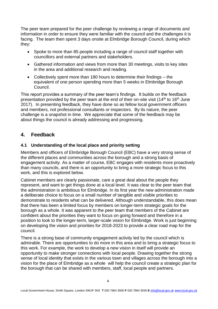The peer team prepared for the peer challenge by reviewing a range of documents and information in order to ensure they were familiar with the council and the challenges it is facing. The team then spent 3 days onsite at Elmbridge Borough Council, during which they:

- Spoke to more than 85 people including a range of council staff together with councillors and external partners and stakeholders.
- Gathered information and views from more than 30 meetings, visits to key sites in the area and additional research and reading.
- Collectively spent more than 180 hours to determine their findings the equivalent of one person spending more than 5 weeks in Elmbridge Borough Council.

This report provides a summary of the peer team's findings. It builds on the feedback presentation provided by the peer team at the end of their on-site visit (14<sup>th</sup> to 16<sup>th</sup> June 2017). In presenting feedback, they have done so as fellow local government officers and members, not professional consultants or inspectors. By its nature, the peer challenge is a snapshot in time. We appreciate that some of the feedback may be about things the council is already addressing and progressing.

# **4. Feedback**

## **4.1 Understanding of the local place and priority setting**

Members and officers of Elmbridge Borough Council (EBC) have a very strong sense of the different places and communities across the borough and a strong basis of engagement activity. As a matter of course, EBC engages with residents more proactively than many councils, and there is an opportunity to bring a more strategic focus to this work, and this is explored below.

Cabinet members are clearly passionate, care a great deal about the people they represent, and want to get things done at a local level. It was clear to the peer team that the administration is ambitious for Elmbridge. In its first year the new administration made a deliberate choice to focus on a small number of tangible and visible priorities to demonstrate to residents what can be delivered. Although understandable, this does mean that there has been a limited focus by members on longer-term strategic goals for the borough as a whole. It was apparent to the peer team that members of the Cabinet are confident about the priorities they want to focus on going forward and therefore in a position to look to the longer-term, larger-scale vision for Elmbridge. Work is just beginning on developing the vision and priorities for 2018-2023 to provide a clear road map for the council.

There is a strong base of community engagement activity led by the council which is admirable. There are opportunities to do more in this area and to bring a strategic focus to this work. For example, the work to develop a new vision in itself will provide an opportunity to make stronger connections with local people. Drawing together the strong sense of local identity that exists in the various town and villages across the borough into a vision for the place of Elmbridge as a whole will help the council create a strategic plan for the borough that can be shared with members, staff, local people and partners.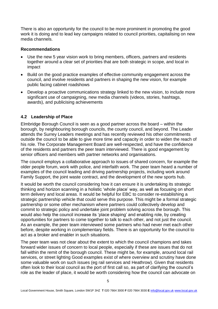There is also an opportunity for the council to be more prominent in promoting the good work it is doing and to lead key campaigns related to council priorities, capitalising on new media channels.

#### **Recommendations**

- Use the new 5 year vision work to bring members, officers, partners and residents together around a clear set of priorities that are both strategic in scope, and local in impact
- Build on the good practice examples of effective community engagement across the council, and involve residents and partners in shaping the new vision, for example public facing cabinet roadshows
- Develop a proactive communications strategy linked to the new vision, to include more significant use of campaigning, new media channels (videos, stories, hashtags, awards), and publicising achievements

## **4.2 Leadership of Place**

Elmbridge Borough Council is seen as a good partner across the board – within the borough, by neighbouring borough councils, the county council, and beyond. The Leader attends the Surrey Leaders meetings and has recently reviewed his other commitments outside the council to be able to give more time and capacity in order to widen the reach of his role. The Corporate Management Board are well-respected, and have the confidence of the residents and partners the peer team interviewed. There is good engagement by senior officers and members with partner networks and organisations.

The council employs a collaborative approach to issues of shared concern, for example the older people forum, work with police, and interfaith work. The peer team heard a number of examples of the council leading and driving partnership projects, including work around Family Support, the joint waste contract, and the development of the new sports hub.

It would be worth the council considering how it can ensure it is undertaking its strategic thinking and horizon scanning in a holistic 'whole place' way, as well as focusing on short term delivery and local areas. It would be helpful for EBC to consider re-establishing a strategic partnership vehicle that could serve this purpose. This might be a formal strategic partnership or some other mechanism where partners could collectively develop and commit to strategic policy and undertake joint problem solving across the borough. This would also help the council increase its 'place shaping' and enabling role, by creating opportunities for partners to come together to talk to each other, and not just the council. As an example, the peer team interviewed some partners who had never met each other before, despite working in complementary fields. There is an opportunity for the council to act as a broker and enabler in such situations.

The peer team was not clear about the extent to which the council champions and takes forward wider issues of concern to local people, especially if these are issues that do not fall within the remit of the borough council. These might be, for example, around local rail services, or street lighting Good examples exist of where overview and scrutiny have done some valuable work on such issues (eg rail services and Heathrow). Given that residents often look to their local council as the port of first call so, as part of clarifying the council's role as the leader of place, it would be worth considering how the council can advocate on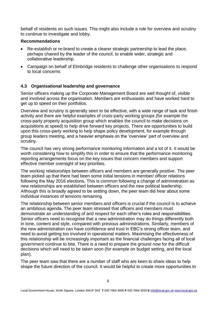behalf of residents on such issues. This might also include a role for overview and scrutiny to continue to investigate and lobby.

#### **Recommendations**

- Re-establish or re-brand to create a clearer strategic partnership to lead the place, perhaps chaired by the leader of the council, to enable wider, strategic and collaborative leadership.
- Campaign on behalf of Elmbridge residents to challenge other organisations to respond to local concerns

#### **4.3 Organisational leadership and governance**

Senior officers making up the Corporate Management Board are well thought of, visible and involved across the organisation. Members are enthusiastic and have worked hard to get up to speed on their portfolios.

Overview and scrutiny is generally seen to be effective, with a wide range of task and finish activity and there are helpful examples of cross-party working groups (for example the cross-party property acquisition group which enables the council to make decisions on acquisitions at speed) to help drive forward key projects. There are opportunities to build upon this cross-party working to help shape policy development, for example through group leaders meeting, and a heavier emphasis on the 'overview' part of overview and scrutiny.

The council has very strong performance monitoring information and a lot of it. It would be worth considering how to simplify this in order to ensure that the performance monitoring reporting arrangements focus on the key issues that concern members and support effective member oversight of key priorities.

The working relationships between officers and members are generally positive. The peer team picked up that there had been some initial tensions in member/ officer relations following the May 2016 elections. This is common following a change of administration as new relationships are established between officers and the new political leadership. Although this is broadly agreed to be settling down, the peer team did hear about some individual instances of tensions remaining.

The relationship between senior members and officers is crucial if the council is to achieve an ambitious agenda. The peer team stressed that officers and members must demonstrate an understanding of and respect for each other's roles and responsibilities. Senior officers need to recognise that a new administration may do things differently both in tone, content and style, compared with previous administrations. Similarly, members of the new administration can have confidence and trust in EBC's strong officer team, and need to avoid getting too involved in operational matters. Maximising the effectiveness of this relationship will be increasingly important as the financial challenges facing all of local government continue to bite. There is a need to prepare the ground now for the difficult decisions which will need to be taken soon (for example on budget setting, and the local plan).

The peer team saw that there are a number of staff who are keen to share ideas to help shape the future direction of the council. It would be helpful to create more opportunities to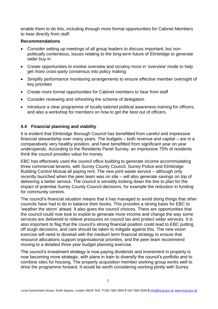enable them to do this, including through more formal opportunities for Cabinet Members to hear directly from staff.

#### **Recommendations**

- Consider setting up meetings of all group leaders to discuss important, but nonpolitically contentious, issues relating to the long-term future of Elmbridge to generate wider buy in
- Create opportunities to involve overview and scrutiny more in 'overview' mode to help get more cross-party consensus into policy making
- Simplify performance monitoring arrangements to ensure effective member oversight of key priorities
- Create more formal opportunities for Cabinet members to hear from staff
- Consider reviewing and refreshing the scheme of delegation
- Introduce a clear programme of locally-tailored political awareness training for officers, and also a workshop for members on how to get the best out of officers.

# **4.4 Financial planning and viability**

It is evident that Elmbridge Borough Council has benefitted from careful and impressive financial stewardship over many years. The budgets – both revenue and capital – are in a comparatively very healthy position, and have benefitted from significant year on year underspends. According to the Residents Panel Survey, an impressive 75% of residents think the council provides value for money.

EBC has effectively used the council office building to generate income accommodating three commercial tenants, with Surrey County Council, Surrey Police and Elmbridge Building Control Mutual all paying rent. The new joint waste service – although only recently launched when the peer team was on site – will also generate savings on top of delivering a better service. The council is sensibly looking down the line to plan for the impact of potential Surrey County Council decisions, for example the reduction in funding for community centres.

The council's financial situation means that it has managed to avoid doing things that other councils have had to do to balance their books. This provides a strong basis for EBC to 'weather the storm' ahead. It also gives the council choices. There are opportunities that the council could now look to exploit to generate more income and change the way some services are delivered to relieve pressures on council tax and protect wider services. It is also important to flag that the council's strong financial position could lead to EBC putting off tough decisions, and care should be taken to mitigate against this. The new vision exercise will need to dovetail with the medium term financial strategy to ensure that resource allocations support organisational priorities, and the peer team recommend moving to a detailed three year budget planning exercise.

The council's investment strategy is now paying dividends and investment in property is now becoming more strategic, with plans in train to diversify the council's portfolio and to combine sites for housing. The property acquisition member working group works well to drive the programme forward. It would be worth considering working jointly with Surrey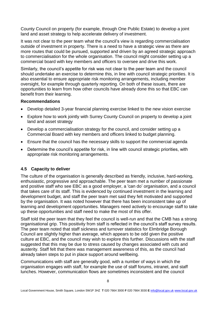County Council on property (for example, through One Public Estate) to develop a joint land and asset strategy to help accelerate delivery of investment.

It was not clear to the peer team what the council's view is regarding commercialisation outside of investment in property. There is a need to have a strategic view as there are more routes that could be pursued, supported and driven by an agreed strategic approach to commercialisation for the whole organisation. The council might consider setting up a commercial board with key members and officers to oversee and drive this work.

Similarly, the council's appetite for risk was not clear to the peer team and the council should undertake an exercise to determine this, in line with council strategic priorities. It is also essential to ensure appropriate risk monitoring arrangements, including member oversight, for example through quarterly reporting. On both of these issues, there are opportunities to learn from how other councils have already done this so that EBC can benefit from their learning.

#### **Recommendations**

- Develop detailed 3-year financial planning exercise linked to the new vision exercise
- Explore how to work jointly with Surrey County Council on property to develop a joint land and asset strategy
- Develop a commercialisation strategy for the council, and consider setting up a Commercial Board with key members and officers linked to budget planning.
- Ensure that the council has the necessary skills to support the commercial agenda
- Determine the council's appetite for risk, in line with council strategic priorities, with appropriate risk monitoring arrangements.

#### **4.5 Capacity to deliver**

The culture of the organisation is generally described as friendly, inclusive, hard-working, enthusiastic, progressive and approachable. The peer team met a number of passionate and positive staff who see EBC as a good employer, a 'can do' organisation, and a council that takes care of its staff. This is evidenced by continued investment in the learning and development budget, and staff the peer team met said they felt motivated and supported by the organisation. It was noted however that there has been inconsistent take up of learning and development opportunities. Managers need actively to encourage staff to take up these opportunities and staff need to make the most of this offer.

Staff told the peer team that they feel the council is well-run and that the CMB has a strong organisational grip. This positivity from staff is reflected in the council's staff survey results. The peer team noted that staff sickness and turnover statistics for Elmbridge Borough Council are slightly higher than average, which appears to be odd given the positive culture at EBC, and the council may wish to explore this further. Discussions with the staff suggested that this may be due to stress caused by changes associated with cuts and austerity. Staff felt that there was management awareness of this, as the council had already taken steps to put in place support around wellbeing.

Communications with staff are generally good, with a number of ways in which the organisation engages with staff, for example the use of staff forums, intranet, and staff lunches. However, communication flows are sometimes inconsistent and the council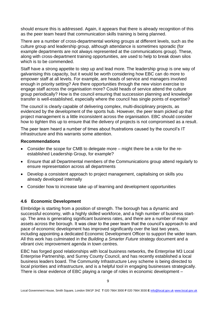should ensure this is addressed. Again, it appears that there is already recognition of this as the peer team heard that communication skills training is being planned.

There are a number of cross-departmental working groups at different levels, such as the culture group and leadership group, although attendance is sometimes sporadic (for example departments are not always represented at the communications group). These, along with cross-department training opportunities, are used to help to break down silos which is to be commended.

Staff have a strong appetite to step up and lead more. The leadership group is one way of galvanising this capacity, but it would be worth considering how EBC can do more to empower staff at all levels. For example, are heads of service and managers involved enough in priority setting? Are there opportunities through the new vision exercise to engage staff across the organisation more? Could heads of service attend the culture group periodically? How is the council ensuring that succession planning and knowledge transfer is well-established, especially where the council has single points of expertise?

The council is clearly capable of delivering complex, multi-disciplinary projects, as evidenced by the development of the sports hub. However, the peer team picked up that project management is a little inconsistent across the organisation. EBC should consider how to tighten this up to ensure that the delivery of projects is not compromised as a result.

The peer team heard a number of times about frustrations caused by the council's IT infrastructure and this warrants some attention.

#### **Recommendations**

- Consider the scope for CMB to delegate more might there be a role for the reestablished Leadership Group, for example?
- Ensure that all Departmental members of the Communications group attend regularly to ensure representation across all departments
- Develop a consistent approach to project management, capitalising on skills you already developed internally
- Consider how to increase take up of learning and development opportunities

# **4.6 Economic Development**

Elmbridge is starting from a position of strength. The borough has a dynamic and successful economy, with a highly skilled workforce, and a high number of business startup. The area is generating significant business rates, and there are a number of major assets across the borough. It was clear to the peer team that the council's approach to and pace of economic development has improved significantly over the last two years, including appointing a dedicated Economic Development Officer to support the wider team. All this work has culminated in the *Building a Smarter Future* strategy document and a vibrant civic improvement agenda in town centres.

EBC has forged good relationships with local business networks, the Enterprise M3 Local Enterprise Partnership, and Surrey County Council, and has recently established a local business leaders board. The Community Infrastructure Levy scheme is being directed to local priorities and infrastructure, and is a helpful tool in engaging businesses strategically. There is clear evidence of EBC playing a range of roles in economic development –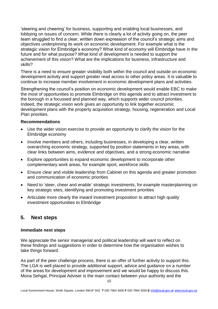'steering and cheering' for business, supporting and enabling local businesses, and lobbying on issues of concern. While there is clearly a lot of activity going on, the peer team struggled to find a clear, written down expression of the council's strategic aims and objectives underpinning its work on economic development. For example what is the strategic vision for Elmbridge's economy? What kind of economy will Elmbridge have in the future and for what purpose? What kind of development is needed to support the achievement of this vision? What are the implications for business, infrastructure and skills?

There is a need to ensure greater visibility both within the council and outside on economic development activity and support greater read across to other policy areas. It is valuable to continue to increase member involvement in economic development plans and activities.

Strengthening the council's position on economic development would enable EBC to make the most of opportunities to promote Elmbridge on this agenda and to attract investment to the borough in a focussed and planned way, which supports wider council priorities. Indeed, the strategic vision work gives an opportunity to link together economic development plans with the property acquisition strategy, housing, regeneration and Local Plan priorities.

#### **Recommendations**

- Use the wider vision exercise to provide an opportunity to clarify the vision for the Elmbridge economy
- Involve members and others, including businesses, in developing a clear, written overarching economic strategy, supported by position statements in key areas, with clear links between aims, evidence and objectives, and a strong economic narrative
- Explore opportunities to expand economic development to incorporate other complementary work areas, for example sport, workforce skills
- Ensure clear and visible leadership from Cabinet on this agenda and greater promotion and communication of economic priorities
- Need to 'steer, cheer and enable' strategic investments, for example masterplanning on key strategic sites, identifying and promoting investment priorities
- Articulate more clearly the inward investment proposition to attract high quality investment opportunities to Elmbridge

# **5. Next steps**

#### **Immediate next steps**

We appreciate the senior managerial and political leadership will want to reflect on these findings and suggestions in order to determine how the organisation wishes to take things forward.

As part of the peer challenge process, there is an offer of further activity to support this. The LGA is well placed to provide additional support, advice and guidance on a number of the areas for development and improvement and we would be happy to discuss this. Mona Sehgal, Principal Adviser is the main contact between your authority and the